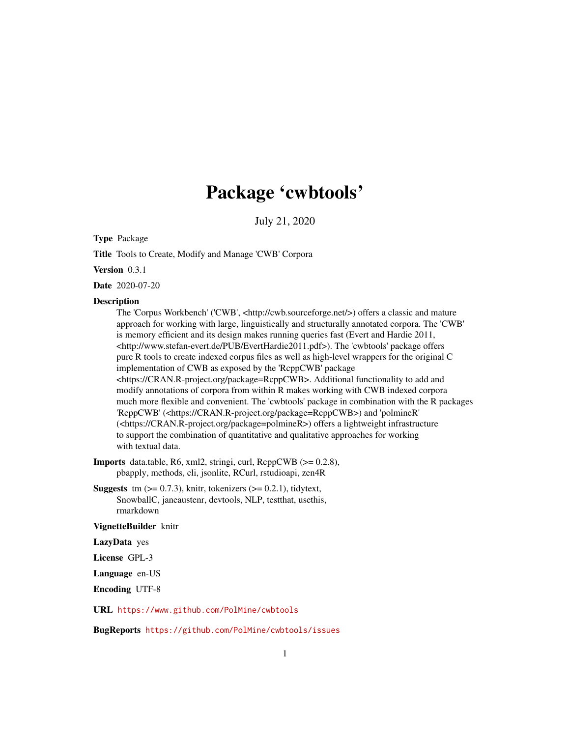# Package 'cwbtools'

July 21, 2020

<span id="page-0-0"></span>Type Package

Title Tools to Create, Modify and Manage 'CWB' Corpora

Version 0.3.1

Date 2020-07-20

#### **Description**

The 'Corpus Workbench' ('CWB', <http://cwb.sourceforge.net/>) offers a classic and mature approach for working with large, linguistically and structurally annotated corpora. The 'CWB' is memory efficient and its design makes running queries fast (Evert and Hardie 2011, <http://www.stefan-evert.de/PUB/EvertHardie2011.pdf>). The 'cwbtools' package offers pure R tools to create indexed corpus files as well as high-level wrappers for the original C implementation of CWB as exposed by the 'RcppCWB' package <https://CRAN.R-project.org/package=RcppCWB>. Additional functionality to add and modify annotations of corpora from within R makes working with CWB indexed corpora much more flexible and convenient. The 'cwbtools' package in combination with the R packages 'RcppCWB' (<https://CRAN.R-project.org/package=RcppCWB>) and 'polmineR' (<https://CRAN.R-project.org/package=polmineR>) offers a lightweight infrastructure to support the combination of quantitative and qualitative approaches for working with textual data.

Imports data.table, R6, xml2, stringi, curl, RcppCWB (>= 0.2.8), pbapply, methods, cli, jsonlite, RCurl, rstudioapi, zen4R

**Suggests** tm  $(>= 0.7.3)$ , knitr, tokenizers  $(>= 0.2.1)$ , tidytext, SnowballC, janeaustenr, devtools, NLP, testthat, usethis, rmarkdown

### VignetteBuilder knitr

LazyData yes

License GPL-3

Language en-US

Encoding UTF-8

URL <https://www.github.com/PolMine/cwbtools>

BugReports <https://github.com/PolMine/cwbtools/issues>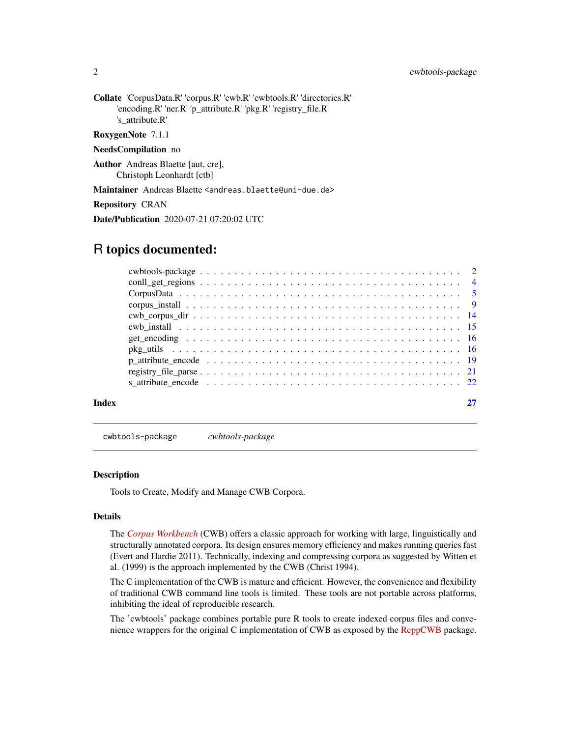<span id="page-1-0"></span>2 cwbtools-package

Collate 'CorpusData.R' 'corpus.R' 'cwb.R' 'cwbtools.R' 'directories.R' 'encoding.R' 'ner.R' 'p\_attribute.R' 'pkg.R' 'registry\_file.R' 's\_attribute.R'

RoxygenNote 7.1.1

#### NeedsCompilation no

Author Andreas Blaette [aut, cre], Christoph Leonhardt [ctb]

Maintainer Andreas Blaette <andreas.blaette@uni-due.de>

Repository CRAN

Date/Publication 2020-07-21 07:20:02 UTC

# R topics documented:

| Index |  |
|-------|--|

cwbtools-package *cwbtools-package*

#### Description

Tools to Create, Modify and Manage CWB Corpora.

# Details

The *[Corpus Workbench](http://cwb.sourceforge.net/)* (CWB) offers a classic approach for working with large, linguistically and structurally annotated corpora. Its design ensures memory efficiency and makes running queries fast (Evert and Hardie 2011). Technically, indexing and compressing corpora as suggested by Witten et al. (1999) is the approach implemented by the CWB (Christ 1994).

The C implementation of the CWB is mature and efficient. However, the convenience and flexibility of traditional CWB command line tools is limited. These tools are not portable across platforms, inhibiting the ideal of reproducible research.

The 'cwbtools' package combines portable pure R tools to create indexed corpus files and conve-nience wrappers for the original C implementation of CWB as exposed by the [RcppCWB](https://CRAN.R-project.org/package=RcppCWB) package.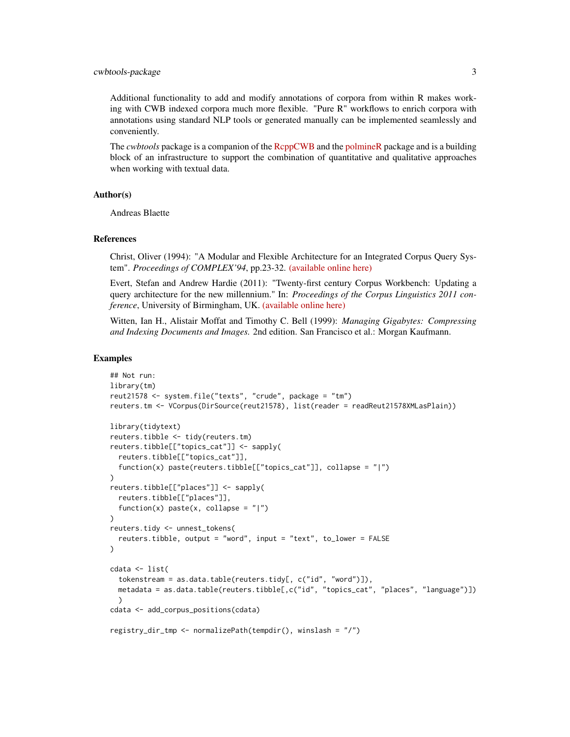#### cwbtools-package 3

Additional functionality to add and modify annotations of corpora from within R makes working with CWB indexed corpora much more flexible. "Pure R" workflows to enrich corpora with annotations using standard NLP tools or generated manually can be implemented seamlessly and conveniently.

The *cwbtools* package is a companion of the [RcppCWB](https://CRAN.R-project.org/package=RcppCWB) and the [polmineR](https://CRAN.R-project.org/package=polmineR) package and is a building block of an infrastructure to support the combination of quantitative and qualitative approaches when working with textual data.

# Author(s)

Andreas Blaette

#### References

Christ, Oliver (1994): "A Modular and Flexible Architecture for an Integrated Corpus Query System". *Proceedings of COMPLEX'94*, pp.23-32. [\(available online here\)](https://arxiv.org/pdf/cmp-lg/9408005.pdf)

Evert, Stefan and Andrew Hardie (2011): "Twenty-first century Corpus Workbench: Updating a query architecture for the new millennium." In: *Proceedings of the Corpus Linguistics 2011 conference*, University of Birmingham, UK. [\(available online here\)](https://www.birmingham.ac.uk/documents/college-artslaw/corpus/conference-archives/2011/Paper-153.pdf)

Witten, Ian H., Alistair Moffat and Timothy C. Bell (1999): *Managing Gigabytes: Compressing and Indexing Documents and Images.* 2nd edition. San Francisco et al.: Morgan Kaufmann.

```
## Not run:
library(tm)
reut21578 <- system.file("texts", "crude", package = "tm")
reuters.tm <- VCorpus(DirSource(reut21578), list(reader = readReut21578XMLasPlain))
library(tidytext)
reuters.tibble <- tidy(reuters.tm)
reuters.tibble[["topics_cat"]] <- sapply(
  reuters.tibble[["topics_cat"]],
  function(x) paste(reuters.tibble[["topics_cat"]], collapse = "|")
)
reuters.tibble[["places"]] <- sapply(
  reuters.tibble[["places"]],
  function(x) paste(x, collapse = "|")
\lambdareuters.tidy <- unnest_tokens(
  reuters.tibble, output = "word", input = "text", to_lower = FALSE
)
cdata <- list(
  tokenstream = as.data.table(reuters.tidy[, c("id", "word")]),
  metadata = as.data.table(reuters.tibble[,c("id", "topics_cat", "places", "language")])
  )
cdata <- add_corpus_positions(cdata)
registry_dir_tmp <- normalizePath(tempdir(), winslash = "/")
```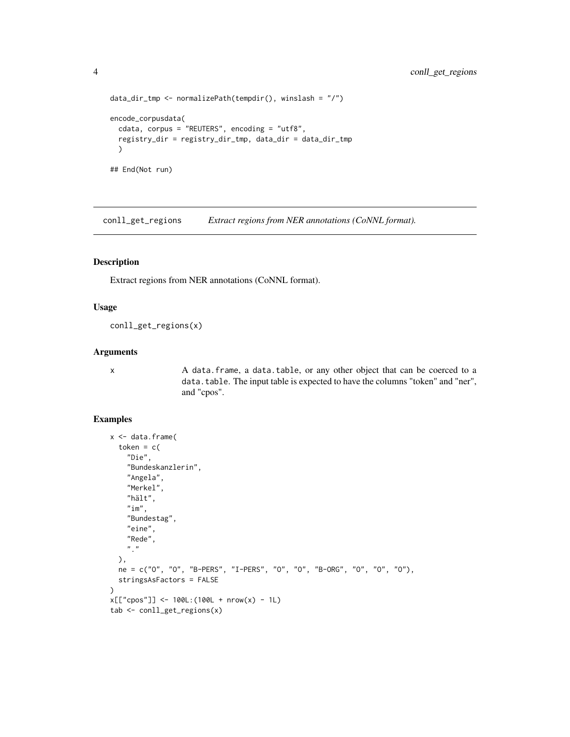```
data_dir_tmp <- normalizePath(tempdir(), winslash = "/")
encode_corpusdata(
  cdata, corpus = "REUTERS", encoding = "utf8",
  registry_dir = registry_dir_tmp, data_dir = data_dir_tmp
  \lambda## End(Not run)
```
conll\_get\_regions *Extract regions from NER annotations (CoNNL format).*

# Description

Extract regions from NER annotations (CoNNL format).

### Usage

conll\_get\_regions(x)

# Arguments

x A data.frame, a data.table, or any other object that can be coerced to a data.table. The input table is expected to have the columns "token" and "ner", and "cpos".

```
x <- data.frame(
  token = c("Die",
    "Bundeskanzlerin",
    "Angela",
    "Merkel",
    "hält",
    "im",
    "Bundestag",
    "eine",
    "Rede",
    "."
  ),
  ne = c("O", "O", "B-PERS", "I-PERS", "O", "O", "B-ORG", "O", "O", "O"),
  stringsAsFactors = FALSE
)
x[["cpos"]] < -100L: (100L + nrow(x) - 1L)
tab <- conll_get_regions(x)
```
<span id="page-3-0"></span>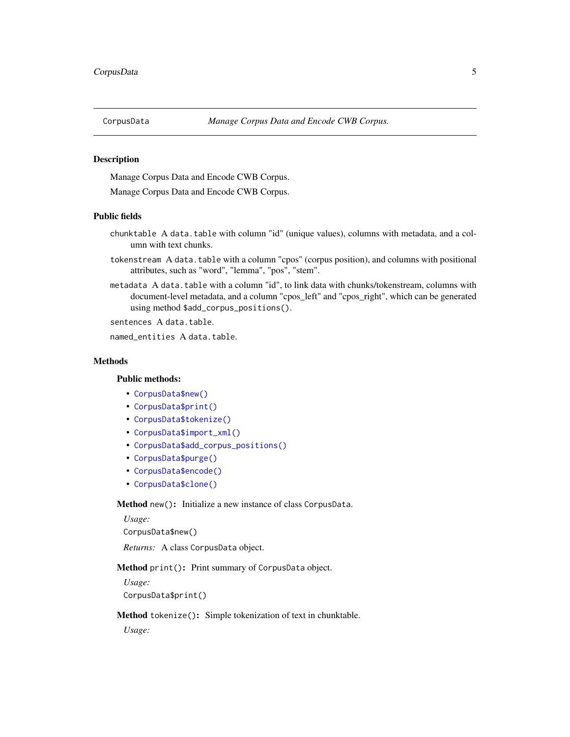<span id="page-4-0"></span>

# Description

Manage Corpus Data and Encode CWB Corpus.

Manage Corpus Data and Encode CWB Corpus.

#### Public fields

- chunktable A data.table with column "id" (unique values), columns with metadata, and a column with text chunks.
- tokenstream A data.table with a column "cpos" (corpus position), and columns with positional attributes, such as "word", "lemma", "pos", "stem".
- metadata A data.table with a column "id", to link data with chunks/tokenstream, columns with document-level metadata, and a column "cpos\_left" and "cpos\_right", which can be generated using method \$add\_corpus\_positions().

sentences A data.table.

named entities A data.table.

#### **Methods**

### Public methods:

- [CorpusData\\$new\(\)](#page-4-1)
- [CorpusData\\$print\(\)](#page-4-2)
- [CorpusData\\$tokenize\(\)](#page-4-3)
- [CorpusData\\$import\\_xml\(\)](#page-5-0)
- [CorpusData\\$add\\_corpus\\_positions\(\)](#page-5-1)
- [CorpusData\\$purge\(\)](#page-5-2)
- [CorpusData\\$encode\(\)](#page-5-3)
- [CorpusData\\$clone\(\)](#page-6-0)

### <span id="page-4-1"></span>Method new(): Initialize a new instance of class CorpusData.

*Usage:* CorpusData\$new()

*Returns:* A class CorpusData object.

# <span id="page-4-2"></span>Method print(): Print summary of CorpusData object.

*Usage:* CorpusData\$print()

#### <span id="page-4-3"></span>Method tokenize(): Simple tokenization of text in chunktable.

*Usage:*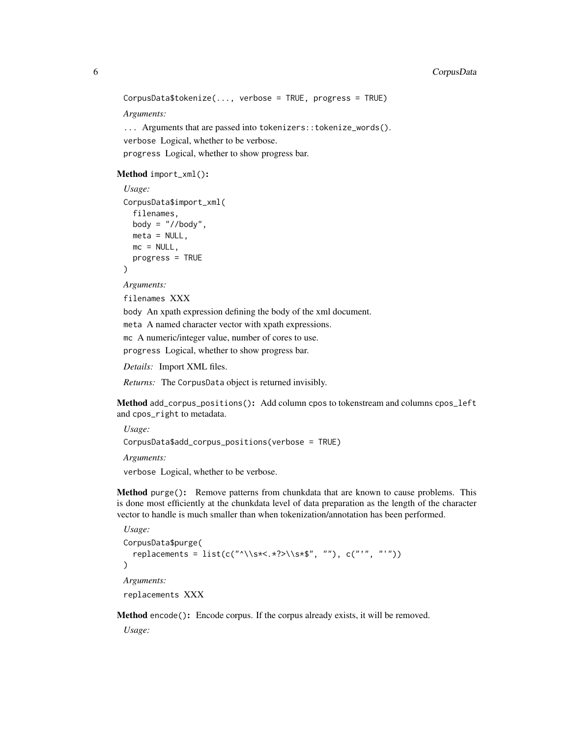# 6 CorpusData

```
CorpusData$tokenize(..., verbose = TRUE, progress = TRUE)
Arguments:
... Arguments that are passed into tokenizers::tokenize_words().
verbose Logical, whether to be verbose.
```
progress Logical, whether to show progress bar.

#### <span id="page-5-0"></span>Method import\_xml():

```
Usage:
CorpusData$import_xml(
  filenames,
 body = \degree//body",
 meta = NULL,
 mc = NULL,progress = TRUE
)
```
*Arguments:* filenames XXX

body An xpath expression defining the body of the xml document.

meta A named character vector with xpath expressions.

mc A numeric/integer value, number of cores to use.

progress Logical, whether to show progress bar.

*Details:* Import XML files.

*Returns:* The CorpusData object is returned invisibly.

<span id="page-5-1"></span>Method add\_corpus\_positions(): Add column cpos to tokenstream and columns cpos\_left and cpos\_right to metadata.

```
Usage:
CorpusData$add_corpus_positions(verbose = TRUE)
Arguments:
verbose Logical, whether to be verbose.
```
<span id="page-5-2"></span>Method purge(): Remove patterns from chunkdata that are known to cause problems. This is done most efficiently at the chunkdata level of data preparation as the length of the character vector to handle is much smaller than when tokenization/annotation has been performed.

```
Usage:
CorpusData$purge(
  replacements = list(c("^\\s*<.*?>\\s*$", ""), c("'", "'"))
)
Arguments:
replacements XXX
```
<span id="page-5-3"></span>Method encode(): Encode corpus. If the corpus already exists, it will be removed.

*Usage:*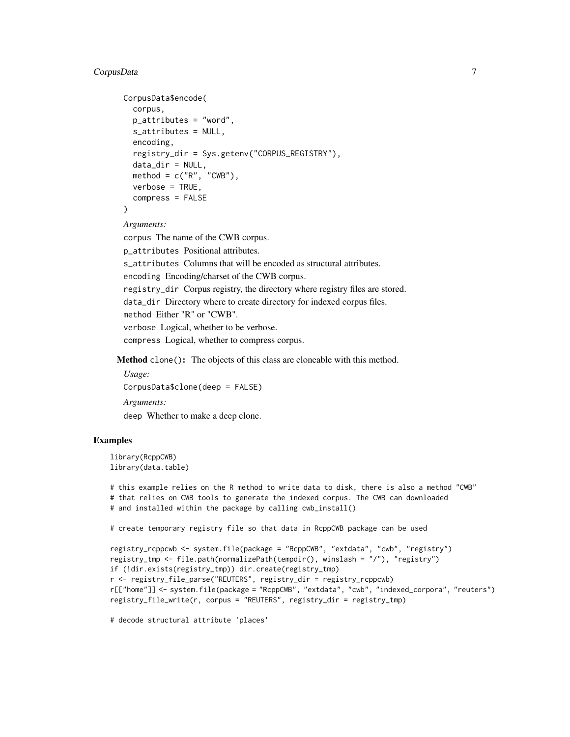# CorpusData 7

```
CorpusData$encode(
  corpus,
 p_{\text{}attributes} = "word",
  s_attributes = NULL,
  encoding,
  registry_dir = Sys.getenv("CORPUS_REGISTRY"),
  data\_dir = NULL,method = c("R", "CWB"),
  verbose = TRUE.
  compress = FALSE
\lambda
```
*Arguments:*

corpus The name of the CWB corpus.

p\_attributes Positional attributes.

s\_attributes Columns that will be encoded as structural attributes.

encoding Encoding/charset of the CWB corpus.

registry\_dir Corpus registry, the directory where registry files are stored.

data\_dir Directory where to create directory for indexed corpus files.

```
method Either "R" or "CWB".
```
verbose Logical, whether to be verbose.

compress Logical, whether to compress corpus.

<span id="page-6-0"></span>Method clone(): The objects of this class are cloneable with this method.

*Usage:* CorpusData\$clone(deep = FALSE) *Arguments:* deep Whether to make a deep clone.

# Examples

library(RcppCWB) library(data.table)

# this example relies on the R method to write data to disk, there is also a method "CWB" # that relies on CWB tools to generate the indexed corpus. The CWB can downloaded # and installed within the package by calling cwb\_install()

# create temporary registry file so that data in RcppCWB package can be used

```
registry_rcppcwb <- system.file(package = "RcppCWB", "extdata", "cwb", "registry")
registry_tmp <- file.path(normalizePath(tempdir(), winslash = "/"), "registry")
if (!dir.exists(registry_tmp)) dir.create(registry_tmp)
r <- registry_file_parse("REUTERS", registry_dir = registry_rcppcwb)
r[["home"]] <- system.file(package = "RcppCWB", "extdata", "cwb", "indexed_corpora", "reuters")
registry_file_write(r, corpus = "REUTERS", registry_dir = registry_tmp)
```
# decode structural attribute 'places'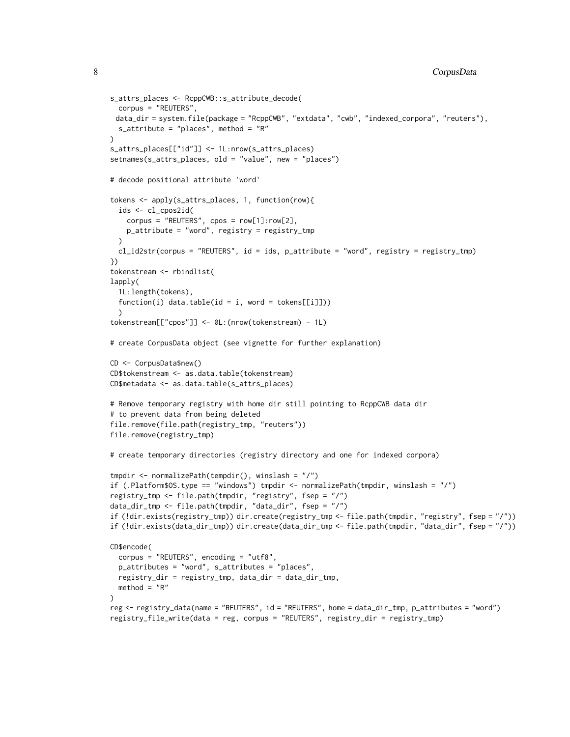```
s_attrs_places <- RcppCWB::s_attribute_decode(
 corpus = "REUTERS",
 data_dir = system.file(package = "RcppCWB", "extdata", "cwb", "indexed_corpora", "reuters"),
 s_attribute = "places", method = "R"
)
s_attrs_places[["id"]] <- 1L:nrow(s_attrs_places)
setnames(s_attrs_places, old = "value", new = "places")
# decode positional attribute 'word'
tokens <- apply(s_attrs_places, 1, function(row){
 ids <- cl_cpos2id(
   corpus = "REUTERS", cpos = row[1]:row[2],
   p_attribute = "word", registry = registry_tmp
 )
 cl_id2str(corpus = "REUTERS", id = ids, p_attribute = "word", registry = registry_tmp)
})
tokenstream <- rbindlist(
lapply(
 1L:length(tokens),
 function(i) data.table(id = i, word = tokens[[i]]))
 \lambdatokenstream[["cpos"]] <- 0L:(nrow(tokenstream) - 1L)
# create CorpusData object (see vignette for further explanation)
CD <- CorpusData$new()
CD$tokenstream <- as.data.table(tokenstream)
CD$metadata <- as.data.table(s_attrs_places)
# Remove temporary registry with home dir still pointing to RcppCWB data dir
# to prevent data from being deleted
file.remove(file.path(registry_tmp, "reuters"))
file.remove(registry_tmp)
# create temporary directories (registry directory and one for indexed corpora)
tmpdir <- normalizePath(tempdir(), winslash = "/")
if (.Platform$OS.type == "windows") tmpdir <- normalizePath(tmpdir, winslash = "/")
registry_tmp <- file.path(tmpdir, "registry", fsep = "/")
data_dir_tmp <- file.path(tmpdir, "data_dir", fsep = "/")
if (!dir.exists(registry_tmp)) dir.create(registry_tmp <- file.path(tmpdir, "registry", fsep = "/"))
if (!dir.exists(data_dir_tmp)) dir.create(data_dir_tmp <- file.path(tmpdir, "data_dir", fsep = "/"))
CD$encode(
 corpus = "REUTERS", encoding = "utf8",
 p_attributes = "word", s_attributes = "places",
 registry_dir = registry_tmp, data_dir = data_dir_tmp,
 method = "R"\lambdareg <- registry_data(name = "REUTERS", id = "REUTERS", home = data_dir_tmp, p_attributes = "word")
registry_file_write(data = reg, corpus = "REUTERS", registry_dir = registry_tmp)
```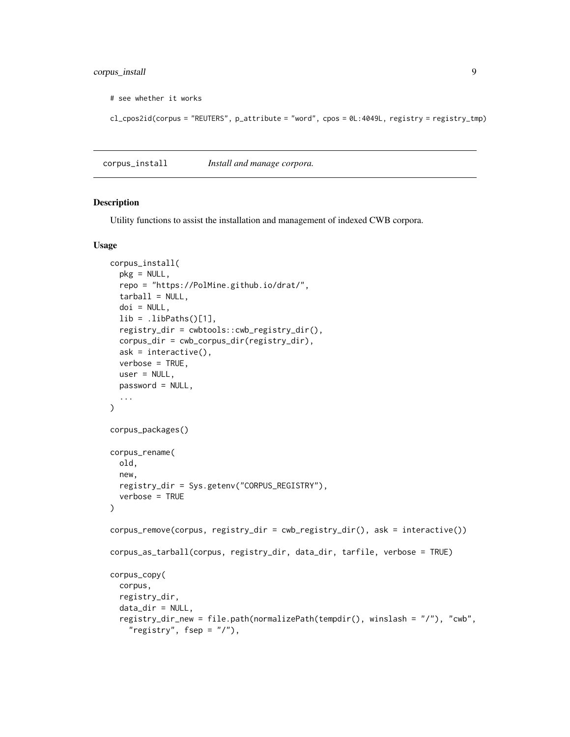# <span id="page-8-0"></span>corpus\_install 9

```
# see whether it works
```
cl\_cpos2id(corpus = "REUTERS", p\_attribute = "word", cpos = 0L:4049L, registry = registry\_tmp)

corpus\_install *Install and manage corpora.*

#### Description

Utility functions to assist the installation and management of indexed CWB corpora.

# Usage

```
corpus_install(
  pkg = NULL,
  repo = "https://PolMine.github.io/drat/",
  tarball = NULL,doi = NULL,lib =.libPaths()[1],
  registry_dir = cwbtools::cwb_registry_dir(),
  corpus_dir = cwb_corpus_dir(registry_dir),
  ask = interactive(),
  verbose = TRUE,
 user = NULL,
 password = NULL,
  ...
\lambdacorpus_packages()
corpus_rename(
  old,
  new,
  registry_dir = Sys.getenv("CORPUS_REGISTRY"),
  verbose = TRUE
)
corpus_remove(corpus, registry_dir = cwb_registry_dir(), ask = interactive())
corpus_as_tarball(corpus, registry_dir, data_dir, tarfile, verbose = TRUE)
corpus_copy(
  corpus,
  registry_dir,
  data_dir = NULL,
  registry_dir_new = file.path(normalizePath(tempdir(), winslash = "/"), "cwb",
    "registry", fsep = "1"),
```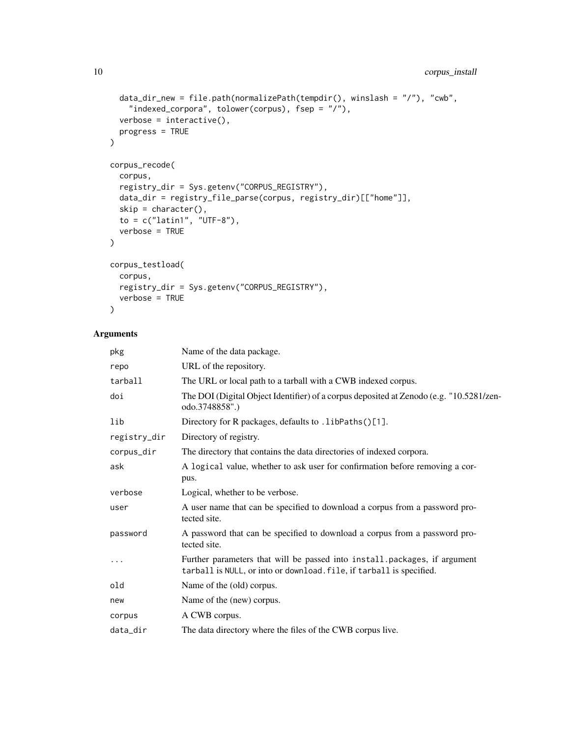```
data_dir_new = file.path(normalizePath(tempdir(), winslash = "/"), "cwb",
    "indexed_corpora", tolower(corpus), fsep = "/"),
  verbose = interactive(),progress = TRUE
)
corpus_recode(
  corpus,
 registry_dir = Sys.getenv("CORPUS_REGISTRY"),
 data_dir = registry_file_parse(corpus, registry_dir)[["home"]],
 skip = character(),
 to = c("latin1", "UTE-8"),verbose = TRUE
)
corpus_testload(
 corpus,
 registry_dir = Sys.getenv("CORPUS_REGISTRY"),
 verbose = TRUE
\lambda
```

| pkg          | Name of the data package.                                                                                                                         |
|--------------|---------------------------------------------------------------------------------------------------------------------------------------------------|
| repo         | URL of the repository.                                                                                                                            |
| tarball      | The URL or local path to a tarball with a CWB indexed corpus.                                                                                     |
| doi          | The DOI (Digital Object Identifier) of a corpus deposited at Zenodo (e.g. "10.5281/zen-<br>odo.3748858".)                                         |
| lib          | Directory for R packages, defaults to . libPaths()[1].                                                                                            |
| registry_dir | Directory of registry.                                                                                                                            |
| corpus_dir   | The directory that contains the data directories of indexed corpora.                                                                              |
| ask          | A logical value, whether to ask user for confirmation before removing a cor-<br>pus.                                                              |
| verbose      | Logical, whether to be verbose.                                                                                                                   |
| user         | A user name that can be specified to download a corpus from a password pro-<br>tected site.                                                       |
| password     | A password that can be specified to download a corpus from a password pro-<br>tected site.                                                        |
| $\cdots$     | Further parameters that will be passed into install.packages, if argument<br>tarball is NULL, or into or download. file, if tarball is specified. |
| old          | Name of the (old) corpus.                                                                                                                         |
| new          | Name of the (new) corpus.                                                                                                                         |
| corpus       | A CWB corpus.                                                                                                                                     |
| data_dir     | The data directory where the files of the CWB corpus live.                                                                                        |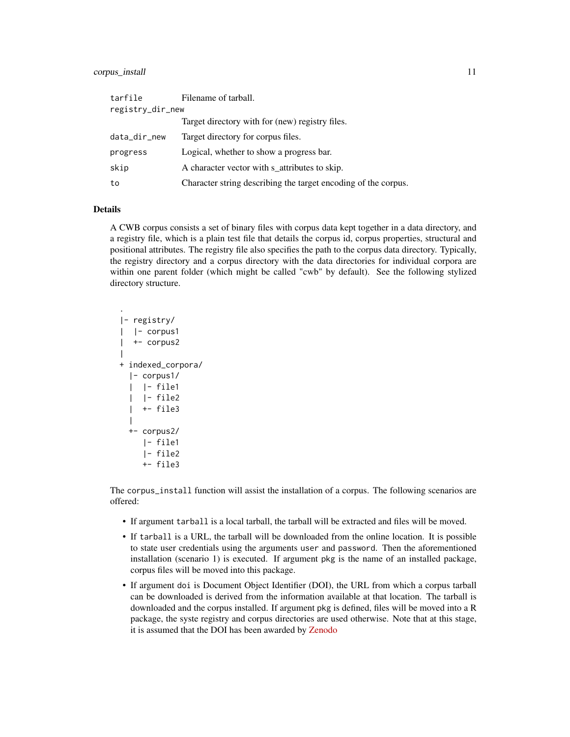#### corpus\_install 11 and 12 and 22 and 23 and 23 and 23 and 24 and 25 and 26 and 26 and 26 and 26 and 26 and 26 and 26 and 26 and 26 and 26 and 26 and 26 and 26 and 26 and 26 and 26 and 26 and 26 and 26 and 26 and 26 and 26 a

| tarfile          | Filename of tarball.                                           |
|------------------|----------------------------------------------------------------|
| registry_dir_new |                                                                |
|                  | Target directory with for (new) registry files.                |
| data_dir_new     | Target directory for corpus files.                             |
| progress         | Logical, whether to show a progress bar.                       |
| skip             | A character vector with s attributes to skip.                  |
| to               | Character string describing the target encoding of the corpus. |

# Details

.

A CWB corpus consists a set of binary files with corpus data kept together in a data directory, and a registry file, which is a plain test file that details the corpus id, corpus properties, structural and positional attributes. The registry file also specifies the path to the corpus data directory. Typically, the registry directory and a corpus directory with the data directories for individual corpora are within one parent folder (which might be called "cwb" by default). See the following stylized directory structure.

```
|- registry/
| |- corpus1
| +- corpus2
|
+ indexed_corpora/
  |- corpus1/
  | |- file1
  | |- file2
  | +- file3
  |
 +- corpus2/
    |- file1
    |- file2
    +- file3
```
The corpus\_install function will assist the installation of a corpus. The following scenarios are offered:

- If argument tarball is a local tarball, the tarball will be extracted and files will be moved.
- If tarball is a URL, the tarball will be downloaded from the online location. It is possible to state user credentials using the arguments user and password. Then the aforementioned installation (scenario 1) is executed. If argument pkg is the name of an installed package, corpus files will be moved into this package.
- If argument doi is Document Object Identifier (DOI), the URL from which a corpus tarball can be downloaded is derived from the information available at that location. The tarball is downloaded and the corpus installed. If argument pkg is defined, files will be moved into a R package, the syste registry and corpus directories are used otherwise. Note that at this stage, it is assumed that the DOI has been awarded by [Zenodo](https://zenodo.org/)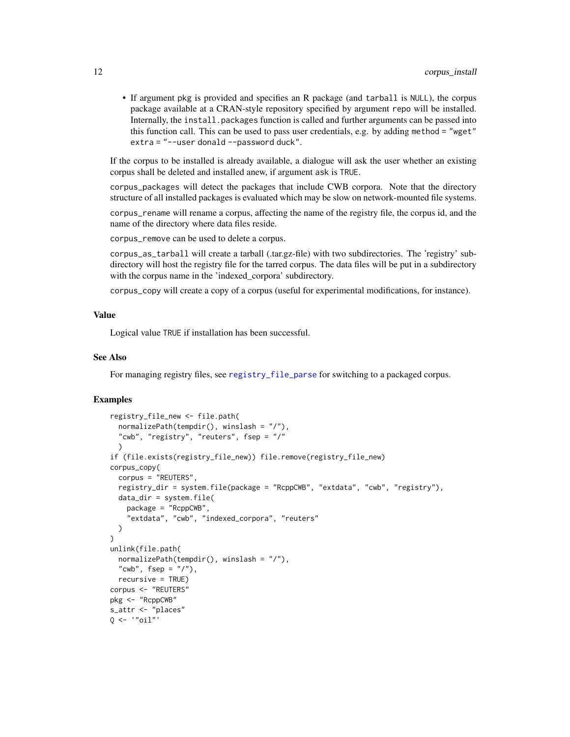<span id="page-11-0"></span>• If argument pkg is provided and specifies an R package (and tarball is NULL), the corpus package available at a CRAN-style repository specified by argument repo will be installed. Internally, the install.packages function is called and further arguments can be passed into this function call. This can be used to pass user credentials, e.g. by adding method = "wget" extra = "--user donald --password duck".

If the corpus to be installed is already available, a dialogue will ask the user whether an existing corpus shall be deleted and installed anew, if argument ask is TRUE.

corpus\_packages will detect the packages that include CWB corpora. Note that the directory structure of all installed packages is evaluated which may be slow on network-mounted file systems.

corpus\_rename will rename a corpus, affecting the name of the registry file, the corpus id, and the name of the directory where data files reside.

corpus\_remove can be used to delete a corpus.

corpus\_as\_tarball will create a tarball (.tar.gz-file) with two subdirectories. The 'registry' subdirectory will host the registry file for the tarred corpus. The data files will be put in a subdirectory with the corpus name in the 'indexed\_corpora' subdirectory.

corpus\_copy will create a copy of a corpus (useful for experimental modifications, for instance).

#### Value

Logical value TRUE if installation has been successful.

#### See Also

For managing registry files, see [registry\\_file\\_parse](#page-20-1) for switching to a packaged corpus.

```
registry_file_new <- file.path(
 normalizePath(tempdir(), winslash = "/"),
  "cwb", "registry", "reuters", fsep = "/"
 \lambdaif (file.exists(registry_file_new)) file.remove(registry_file_new)
corpus_copy(
 corpus = "REUTERS",
 registry_dir = system.file(package = "RcppCWB", "extdata", "cwb", "registry"),
 data_dir = system.file(
   package = "RcppCWB",
    "extdata", "cwb", "indexed_corpora", "reuters"
 )
)
unlink(file.path(
 normalizePath(tempdir(), winslash = "/"),
  "cwb", fsep = "1"),
 recursive = TRUE)
corpus <- "REUTERS"
pkg <- "RcppCWB"
s_attr <- "places"
Q \le - '"oil"'
```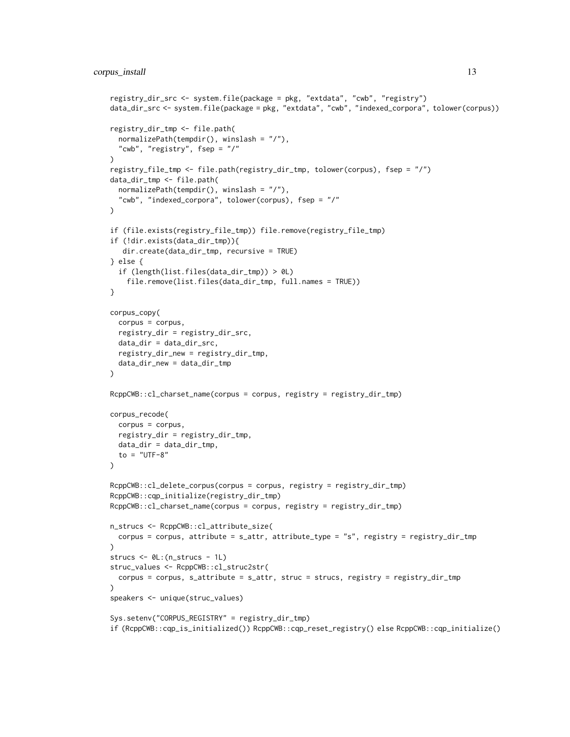```
registry_dir_src <- system.file(package = pkg, "extdata", "cwb", "registry")
data_dir_src <- system.file(package = pkg, "extdata", "cwb", "indexed_corpora", tolower(corpus))
registry_dir_tmp <- file.path(
  normalizePath(tempdir(), winslash = "/"),
  "cwb", "registry", fsep = "/"
\lambdaregistry_file_tmp <- file.path(registry_dir_tmp, tolower(corpus), fsep = "/")
data_dir_tmp <- file.path(
  normalizePath(tempdir(), winslash = "/"),
  "cwb", "indexed_corpora", tolower(corpus), fsep = "/"
\mathcal{L}if (file.exists(registry_file_tmp)) file.remove(registry_file_tmp)
if (!dir.exists(data_dir_tmp)){
   dir.create(data_dir_tmp, recursive = TRUE)
} else {
  if (length(list.files(data_dir_tmp)) > 0L)
    file.remove(list.files(data_dir_tmp, full.names = TRUE))
}
corpus_copy(
  corpus = corpus,
  registry_dir = registry_dir_src,
  data_dir = data_dir_src,
  registry_dir_new = registry_dir_tmp,
  data_dir_new = data_dir_tmp
)
RcppCWB::cl_charset_name(corpus = corpus, registry = registry_dir_tmp)
corpus_recode(
 corpus = corpus,
  registry_dir = registry_dir_tmp,
  data_dir = data_dir_tmp,
  to = "UTF-8"
\lambdaRcppCWB::cl_delete_corpus(corpus = corpus, registry = registry_dir_tmp)
RcppCWB::cqp_initialize(registry_dir_tmp)
RcppCWB::cl_charset_name(corpus = corpus, registry = registry_dir_tmp)
n_strucs <- RcppCWB::cl_attribute_size(
 corpus = corpus, attribute = s_attr, attribute_type = "s", registry = registry_dir_tmp
\lambdastrucs <- 0L:(n_strucs - 1L)
struc_values <- RcppCWB::cl_struc2str(
  corpus = corpus, s_attribute = s_attr, struc = strucs, registry = registry_dir_tmp
\lambdaspeakers <- unique(struc_values)
Sys.setenv("CORPUS_REGISTRY" = registry_dir_tmp)
if (RcppCWB::cqp_is_initialized()) RcppCWB::cqp_reset_registry() else RcppCWB::cqp_initialize()
```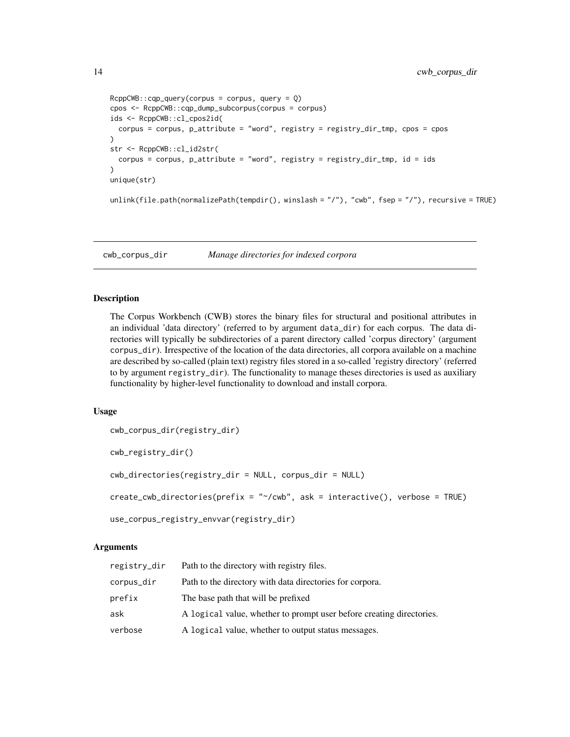```
RcppCWB::cqp_query(corpus = corpus, query = Q)cpos <- RcppCWB::cqp_dump_subcorpus(corpus = corpus)
ids <- RcppCWB::cl_cpos2id(
  corpus = corpus, p_attribute = "word", registry = registry_dir_tmp, cpos = cpos
\lambdastr <- RcppCWB::cl_id2str(
  corpus = corpus, p_attribute = "word", registry = registry_dir_tmp, id = ids
\mathcal{L}unique(str)
unlink(file.path(normalizePath(tempdir(), winslash = "/"), "cwb", fsep = "/"), recursive = TRUE)
```
cwb\_corpus\_dir *Manage directories for indexed corpora*

#### Description

The Corpus Workbench (CWB) stores the binary files for structural and positional attributes in an individual 'data directory' (referred to by argument data\_dir) for each corpus. The data directories will typically be subdirectories of a parent directory called 'corpus directory' (argument corpus\_dir). Irrespective of the location of the data directories, all corpora available on a machine are described by so-called (plain text) registry files stored in a so-called 'registry directory' (referred to by argument registry\_dir). The functionality to manage theses directories is used as auxiliary functionality by higher-level functionality to download and install corpora.

#### Usage

```
cwb_corpus_dir(registry_dir)
cwb_registry_dir()
cwb_directories(registry_dir = NULL, corpus_dir = NULL)
create_cwb_directories(prefix = "~/cwb", ask = interactive(), verbose = TRUE)
use_corpus_registry_envvar(registry_dir)
```

| registry_dir | Path to the directory with registry files.                           |
|--------------|----------------------------------------------------------------------|
| corpus_dir   | Path to the directory with data directories for corpora.             |
| prefix       | The base path that will be prefixed                                  |
| ask          | A logical value, whether to prompt user before creating directories. |
| verbose      | A logical value, whether to output status messages.                  |

<span id="page-13-0"></span>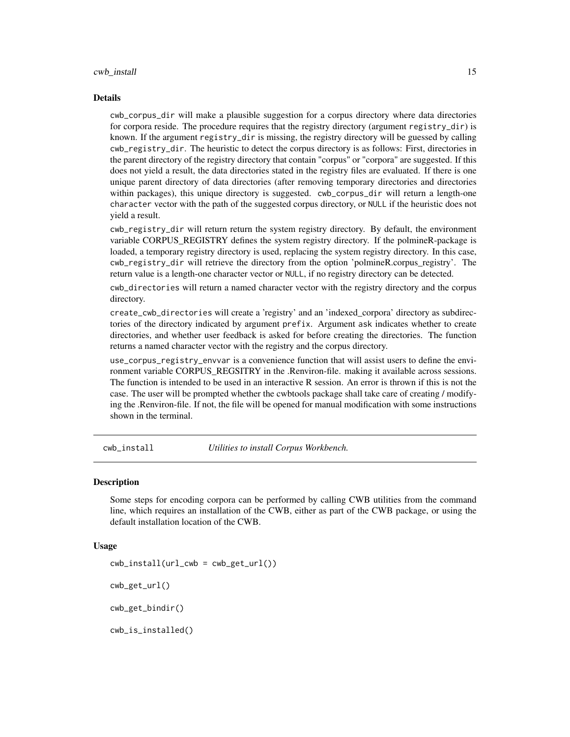#### <span id="page-14-0"></span>Details

cwb\_corpus\_dir will make a plausible suggestion for a corpus directory where data directories for corpora reside. The procedure requires that the registry directory (argument registry\_dir) is known. If the argument registry\_dir is missing, the registry directory will be guessed by calling cwb\_registry\_dir. The heuristic to detect the corpus directory is as follows: First, directories in the parent directory of the registry directory that contain "corpus" or "corpora" are suggested. If this does not yield a result, the data directories stated in the registry files are evaluated. If there is one unique parent directory of data directories (after removing temporary directories and directories within packages), this unique directory is suggested. cwb\_corpus\_dir will return a length-one character vector with the path of the suggested corpus directory, or NULL if the heuristic does not yield a result.

cwb\_registry\_dir will return return the system registry directory. By default, the environment variable CORPUS\_REGISTRY defines the system registry directory. If the polmineR-package is loaded, a temporary registry directory is used, replacing the system registry directory. In this case, cwb\_registry\_dir will retrieve the directory from the option 'polmineR.corpus\_registry'. The return value is a length-one character vector or NULL, if no registry directory can be detected.

cwb\_directories will return a named character vector with the registry directory and the corpus directory.

create\_cwb\_directories will create a 'registry' and an 'indexed\_corpora' directory as subdirectories of the directory indicated by argument prefix. Argument ask indicates whether to create directories, and whether user feedback is asked for before creating the directories. The function returns a named character vector with the registry and the corpus directory.

use\_corpus\_registry\_envvar is a convenience function that will assist users to define the environment variable CORPUS REGSITRY in the .Renviron-file. making it available across sessions. The function is intended to be used in an interactive R session. An error is thrown if this is not the case. The user will be prompted whether the cwbtools package shall take care of creating / modifying the .Renviron-file. If not, the file will be opened for manual modification with some instructions shown in the terminal.

cwb\_install *Utilities to install Corpus Workbench.*

#### Description

Some steps for encoding corpora can be performed by calling CWB utilities from the command line, which requires an installation of the CWB, either as part of the CWB package, or using the default installation location of the CWB.

#### Usage

```
cwb\_install(url\_cwb = cwb\_get\_url())cwb_get_url()
cwb_get_bindir()
cwb_is_installed()
```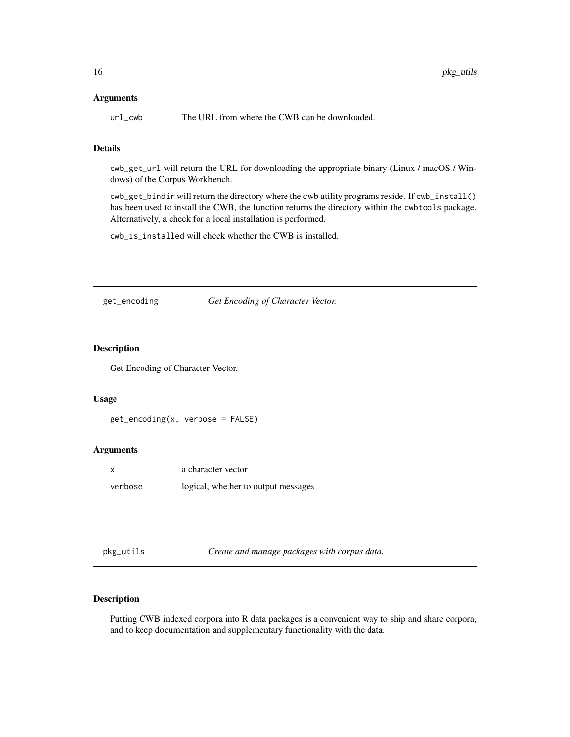#### <span id="page-15-0"></span>Arguments

url\_cwb The URL from where the CWB can be downloaded.

# Details

cwb\_get\_url will return the URL for downloading the appropriate binary (Linux / macOS / Windows) of the Corpus Workbench.

cwb\_get\_bindir will return the directory where the cwb utility programs reside. If cwb\_install() has been used to install the CWB, the function returns the directory within the cwbtools package. Alternatively, a check for a local installation is performed.

cwb\_is\_installed will check whether the CWB is installed.

get\_encoding *Get Encoding of Character Vector.*

# Description

Get Encoding of Character Vector.

# Usage

```
get_encoding(x, verbose = FALSE)
```
# Arguments

| X       | a character vector                  |
|---------|-------------------------------------|
| verbose | logical, whether to output messages |

pkg\_utils *Create and manage packages with corpus data.*

# Description

Putting CWB indexed corpora into R data packages is a convenient way to ship and share corpora, and to keep documentation and supplementary functionality with the data.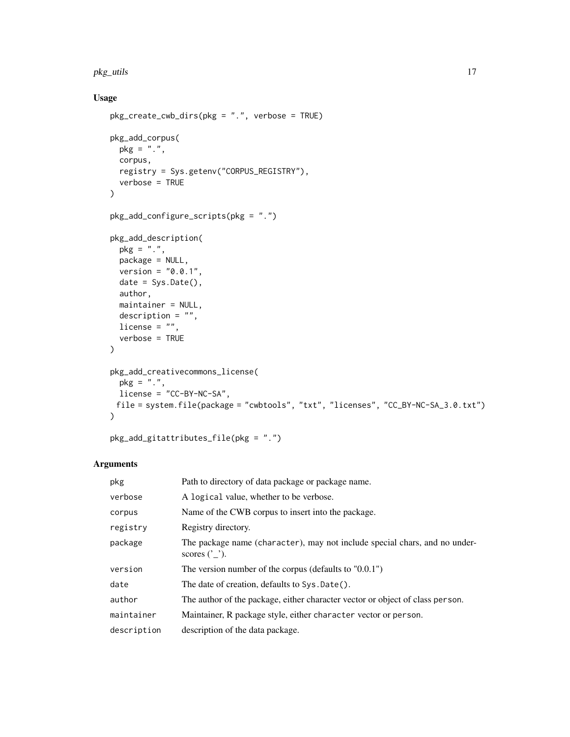### pkg\_utils 17

# Usage

```
pkg_create_cwb_dirs(pkg = ".", verbose = TRUE)
pkg_add_corpus(
 pkg = "."corpus,
 registry = Sys.getenv("CORPUS_REGISTRY"),
 verbose = TRUE
)
pkg_add_configure_scripts(pkg = ".")
pkg_add_description(
 pkg = "."package = NULL,
 version = "0.0.1",date = Sys.Date(),
 author,
 maintainer = NULL,
 description = ",
 license = ",
  verbose = TRUE
\mathcal{L}pkg_add_creativecommons_license(
 pkg = ".",
 license = "CC-BY-NC-SA",
 file = system.file(package = "cwbtools", "txt", "licenses", "CC_BY-NC-SA_3.0.txt")
\lambda
```

```
pkg_add_gitattributes_file(pkg = ".")
```

| pkg         | Path to directory of data package or package name.                                            |
|-------------|-----------------------------------------------------------------------------------------------|
| verbose     | A logical value, whether to be verbose.                                                       |
| corpus      | Name of the CWB corpus to insert into the package.                                            |
| registry    | Registry directory.                                                                           |
| package     | The package name (character), may not include special chars, and no under-<br>scores $('')$ . |
| version     | The version number of the corpus (defaults to $"0.0.1"$ )                                     |
| date        | The date of creation, defaults to Sys. Date().                                                |
| author      | The author of the package, either character vector or object of class person.                 |
| maintainer  | Maintainer, R package style, either character vector or person.                               |
| description | description of the data package.                                                              |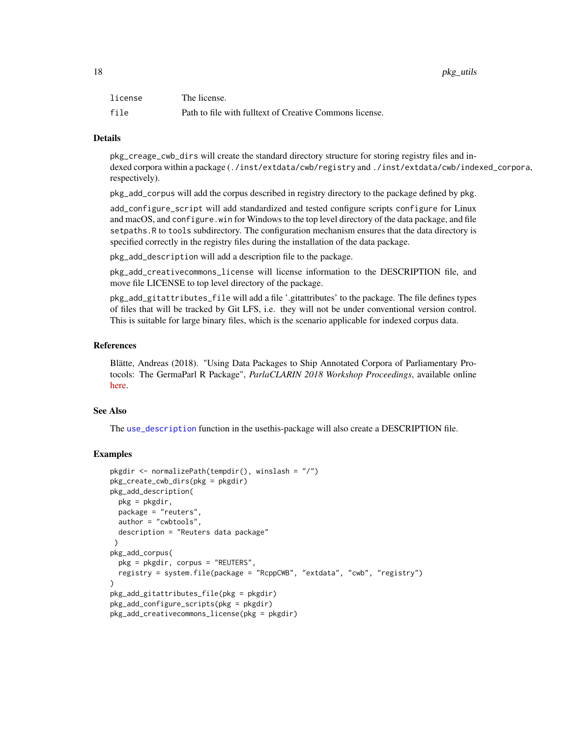<span id="page-17-0"></span>

| license | The license.                                            |
|---------|---------------------------------------------------------|
| file    | Path to file with fulltext of Creative Commons license. |

# Details

pkg\_creage\_cwb\_dirs will create the standard directory structure for storing registry files and indexed corpora within a package (./inst/extdata/cwb/registry and ./inst/extdata/cwb/indexed\_corpora, respectively).

pkg\_add\_corpus will add the corpus described in registry directory to the package defined by pkg.

add\_configure\_script will add standardized and tested configure scripts configure for Linux and macOS, and configure.win for Windows to the top level directory of the data package, and file setpaths.R to tools subdirectory. The configuration mechanism ensures that the data directory is specified correctly in the registry files during the installation of the data package.

pkg\_add\_description will add a description file to the package.

pkg\_add\_creativecommons\_license will license information to the DESCRIPTION file, and move file LICENSE to top level directory of the package.

pkg\_add\_gitattributes\_file will add a file '.gitattributes' to the package. The file defines types of files that will be tracked by Git LFS, i.e. they will not be under conventional version control. This is suitable for large binary files, which is the scenario applicable for indexed corpus data.

#### References

Blätte, Andreas (2018). "Using Data Packages to Ship Annotated Corpora of Parliamentary Protocols: The GermaParl R Package", *ParlaCLARIN 2018 Workshop Proceedings*, available online [here.](http://lrec-conf.org/workshops/lrec2018/W2/pdf/15_W2.pdf)

### See Also

The [use\\_description](#page-0-0) function in the usethis-package will also create a DESCRIPTION file.

```
pkgdir <- normalizePath(tempdir(), winslash = "/")
pkg_create_cwb_dirs(pkg = pkgdir)
pkg_add_description(
  pkg = pkgdir,
  package = "reuters",
  author = "cwbtools",
  description = "Reuters data package"
 \lambdapkg_add_corpus(
  pkg = pkgdir, corpus = "REUTERS",
  registry = system.file(package = "RcppCWB", "extdata", "cwb", "registry")
)
pkg_add_gitattributes_file(pkg = pkgdir)
pkg_add_configure_scripts(pkg = pkgdir)
pkg_add_creativecommons_license(pkg = pkgdir)
```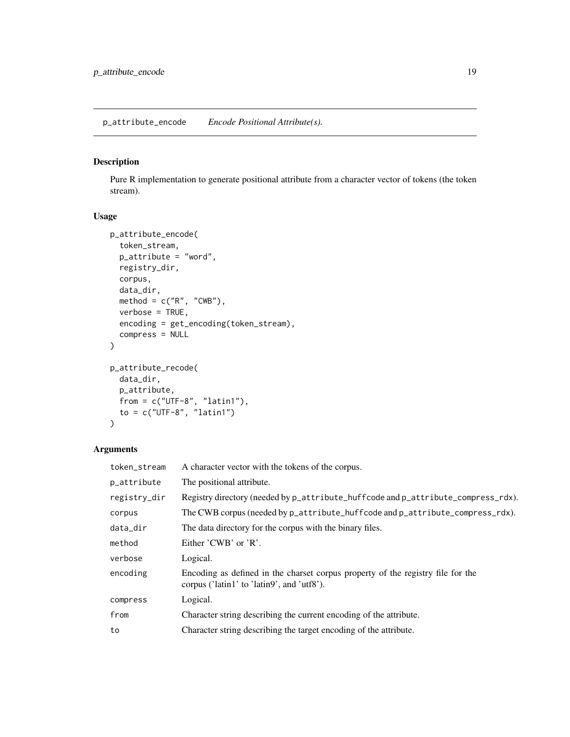# <span id="page-18-0"></span>Description

Pure R implementation to generate positional attribute from a character vector of tokens (the token stream).

# Usage

```
p_attribute_encode(
  token_stream,
 p_attribute = "word",
 registry_dir,
 corpus,
 data_dir,
 method = c("R", "CWB"),verbose = TRUE,
 encoding = get_encoding(token_stream),
 compress = NULL
)
p_attribute_recode(
 data_dir,
 p_attribute,
 from = c("UTF-8", "latin1"),to = c("UTF-8", "latin1")
)
```

| token_stream | A character vector with the tokens of the corpus.                                                                             |
|--------------|-------------------------------------------------------------------------------------------------------------------------------|
| p_attribute  | The positional attribute.                                                                                                     |
| registry_dir | Registry directory (needed by p_attribute_huffcode and p_attribute_compress_rdx).                                             |
| corpus       | The CWB corpus (needed by p_attribute_huffcode and p_attribute_compress_rdx).                                                 |
| data_dir     | The data directory for the corpus with the binary files.                                                                      |
| method       | Either $'CWB'$ or $'R'$ .                                                                                                     |
| verbose      | Logical.                                                                                                                      |
| encoding     | Encoding as defined in the charset corpus property of the registry file for the<br>corpus ('latin1' to 'latin9', and 'utf8'). |
| compress     | Logical.                                                                                                                      |
| from         | Character string describing the current encoding of the attribute.                                                            |
| to           | Character string describing the target encoding of the attribute.                                                             |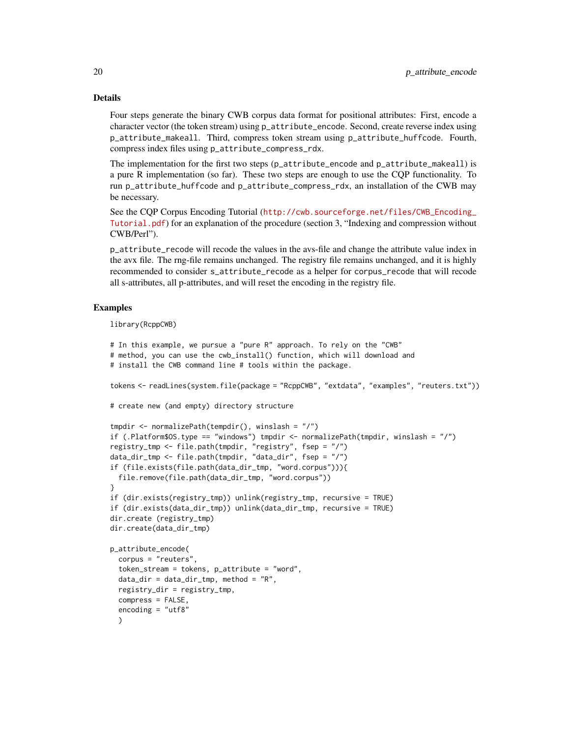# Details

Four steps generate the binary CWB corpus data format for positional attributes: First, encode a character vector (the token stream) using p\_attribute\_encode. Second, create reverse index using p\_attribute\_makeall. Third, compress token stream using p\_attribute\_huffcode. Fourth, compress index files using p\_attribute\_compress\_rdx.

The implementation for the first two steps (p\_attribute\_encode and p\_attribute\_makeall) is a pure R implementation (so far). These two steps are enough to use the CQP functionality. To run p\_attribute\_huffcode and p\_attribute\_compress\_rdx, an installation of the CWB may be necessary.

See the CQP Corpus Encoding Tutorial ([http://cwb.sourceforge.net/files/CWB\\_Encoding\\_](http://cwb.sourceforge.net/files/CWB_Encoding_Tutorial.pdf) [Tutorial.pdf](http://cwb.sourceforge.net/files/CWB_Encoding_Tutorial.pdf)) for an explanation of the procedure (section 3, "Indexing and compression without CWB/Perl").

p\_attribute\_recode will recode the values in the avs-file and change the attribute value index in the avx file. The rng-file remains unchanged. The registry file remains unchanged, and it is highly recommended to consider s\_attribute\_recode as a helper for corpus\_recode that will recode all s-attributes, all p-attributes, and will reset the encoding in the registry file.

# Examples

library(RcppCWB)

```
# In this example, we pursue a "pure R" approach. To rely on the "CWB"
# method, you can use the cwb_install() function, which will download and
# install the CWB command line # tools within the package.
tokens <- readLines(system.file(package = "RcppCWB", "extdata", "examples", "reuters.txt"))
# create new (and empty) directory structure
tmpdir <- normalizePath(tempdir(), winslash = "/")
if (.Platform$OS.type == "windows") tmpdir <- normalizePath(tmpdir, winslash = "/")
registry_tmp <- file.path(tmpdir, "registry", fsep = "/")
data_dir_tmp <- file.path(tmpdir, "data_dir", fsep = "/")
if (file.exists(file.path(data_dir_tmp, "word.corpus"))){
  file.remove(file.path(data_dir_tmp, "word.corpus"))
}
if (dir.exists(registry_tmp)) unlink(registry_tmp, recursive = TRUE)
if (dir.exists(data_dir_tmp)) unlink(data_dir_tmp, recursive = TRUE)
dir.create (registry_tmp)
dir.create(data_dir_tmp)
p_attribute_encode(
 corpus = "reuters",
 token_stream = tokens, p_attribute = "word",
 data\_dir = data\_dir\_tmp, method = "R",registry_dir = registry_tmp,
 compress = FALSE,
 encoding = "utf8"
 \lambda
```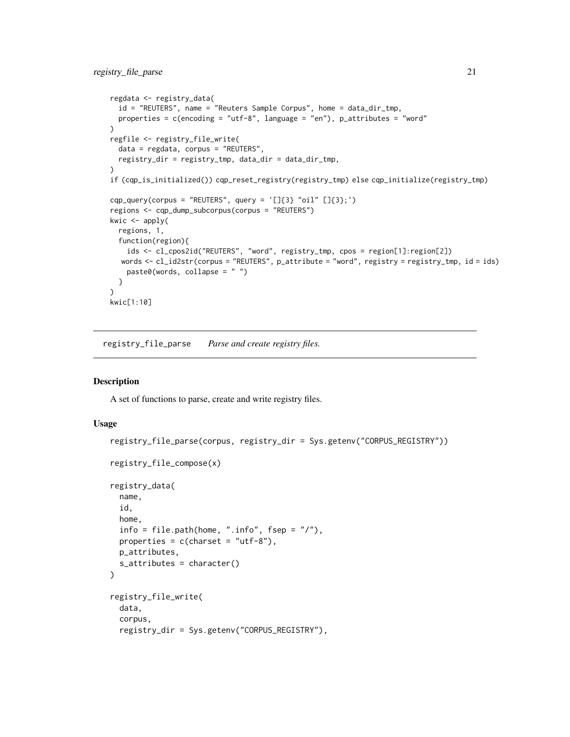```
regdata <- registry_data(
  id = "REUTERS", name = "Reuters Sample Corpus", home = data_dir_tmp,
  properties = c(encoding = "utf-8", language = "en"), p_attributes = "word"
\lambdaregfile <- registry_file_write(
  data = regdata, corpus = "REUTERS",
  registry_dir = registry_tmp, data_dir = data_dir_tmp,
)
if (cqp_is_initialized()) cqp_reset_registry(registry_tmp) else cqp_initialize(registry_tmp)
cqp_query(corpus = "REUTERS", query = '[]{3} "oil" []{3};')
regions <- cqp_dump_subcorpus(corpus = "REUTERS")
kwic \leq apply(
  regions, 1,
  function(region){
    ids <- cl_cpos2id("REUTERS", "word", registry_tmp, cpos = region[1]:region[2])
  words <- cl_id2str(corpus = "REUTERS", p_attribute = "word", registry = registry_tmp, id = ids)
   paste0(words, collapse = " ")
  }
)
kwic[1:10]
```
<span id="page-20-1"></span>registry\_file\_parse *Parse and create registry files.*

#### Description

A set of functions to parse, create and write registry files.

#### Usage

```
registry_file_parse(corpus, registry_dir = Sys.getenv("CORPUS_REGISTRY"))
registry_file_compose(x)
registry_data(
  name,
  id,
 home,
  info = file.path(home, ".info", fsep = ''/"),
 properties = c(charset = "utf-8"),p_attributes,
  s_attributes = character()
\lambdaregistry_file_write(
 data,
  corpus,
  registry_dir = Sys.getenv("CORPUS_REGISTRY"),
```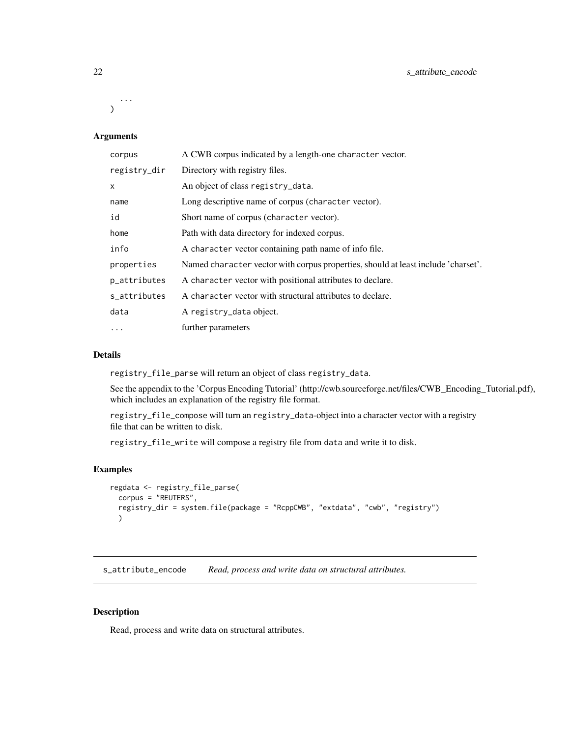<span id="page-21-0"></span>...  $\lambda$ 

# Arguments

| corpus       | A CWB corpus indicated by a length-one character vector.                          |
|--------------|-----------------------------------------------------------------------------------|
| registry_dir | Directory with registry files.                                                    |
| $\mathsf{x}$ | An object of class registry_data.                                                 |
| name         | Long descriptive name of corpus (character vector).                               |
| id           | Short name of corpus (character vector).                                          |
| home         | Path with data directory for indexed corpus.                                      |
| info         | A character vector containing path name of info file.                             |
| properties   | Named character vector with corpus properties, should at least include 'charset'. |
| p_attributes | A character vector with positional attributes to declare.                         |
| s_attributes | A character vector with structural attributes to declare.                         |
| data         | A registry_data object.                                                           |
| $\cdots$     | further parameters                                                                |

# Details

registry\_file\_parse will return an object of class registry\_data.

See the appendix to the 'Corpus Encoding Tutorial' (http://cwb.sourceforge.net/files/CWB\_Encoding\_Tutorial.pdf), which includes an explanation of the registry file format.

registry\_file\_compose will turn an registry\_data-object into a character vector with a registry file that can be written to disk.

registry\_file\_write will compose a registry file from data and write it to disk.

#### Examples

```
regdata <- registry_file_parse(
  corpus = "REUTERS",
  registry_dir = system.file(package = "RcppCWB", "extdata", "cwb", "registry")
  )
```
s\_attribute\_encode *Read, process and write data on structural attributes.*

#### Description

Read, process and write data on structural attributes.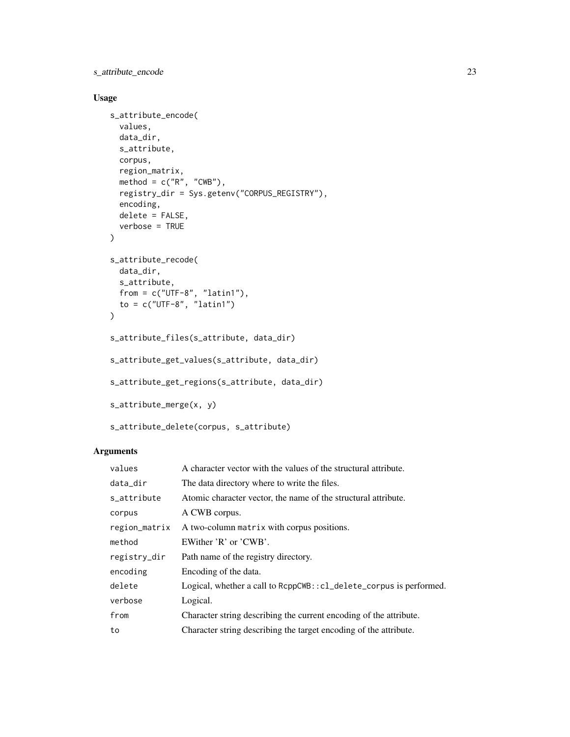s\_attribute\_encode 23

# Usage

```
s_attribute_encode(
  values,
  data_dir,
  s_attribute,
  corpus,
  region_matrix,
  method = c("R", "CWB"),registry_dir = Sys.getenv("CORPUS_REGISTRY"),
  encoding,
  delete = FALSE,
  verbose = TRUE
\lambdas_attribute_recode(
  data_dir,
  s_attribute,
 from = c("UTE-8", "latin1"),to = c("UTE-8", "latin1")\mathcal{L}s_attribute_files(s_attribute, data_dir)
s_attribute_get_values(s_attribute, data_dir)
s_attribute_get_regions(s_attribute, data_dir)
s_attribute_merge(x, y)
s_attribute_delete(corpus, s_attribute)
```

| values        | A character vector with the values of the structural attribute.          |
|---------------|--------------------------------------------------------------------------|
| data_dir      | The data directory where to write the files.                             |
| s_attribute   | Atomic character vector, the name of the structural attribute.           |
| corpus        | A CWB corpus.                                                            |
| region_matrix | A two-column matrix with corpus positions.                               |
| method        | EWither $'R'$ or $'CWB'$ .                                               |
| registry_dir  | Path name of the registry directory.                                     |
| encoding      | Encoding of the data.                                                    |
| delete        | $Logical$ , whether a call to $RepCWB::cl\_delete\_corpus$ is performed. |
| verbose       | Logical.                                                                 |
| from          | Character string describing the current encoding of the attribute.       |
| to            | Character string describing the target encoding of the attribute.        |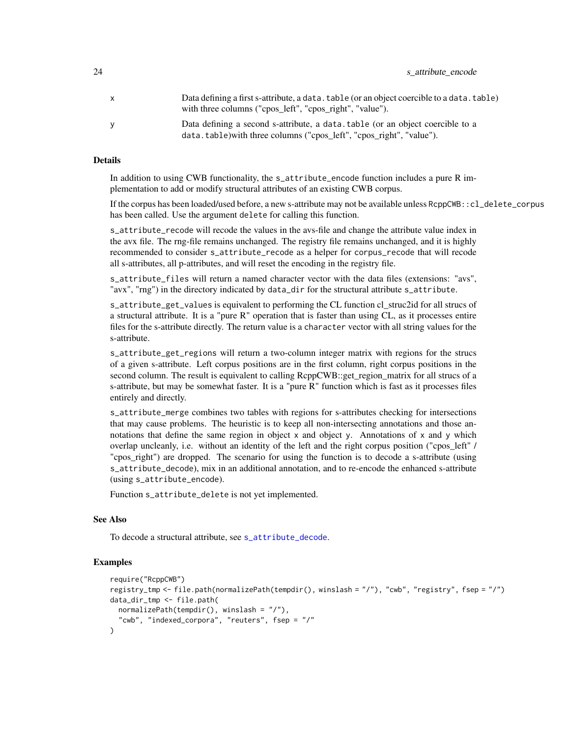<span id="page-23-0"></span>

| 24 | s attribute encode |  |
|----|--------------------|--|
|----|--------------------|--|

| $\mathsf{x}$ | Data defining a first s-attribute, a data. table (or an object coercible to a data. table)<br>with three columns ("cpos_left", "cpos_right", "value"). |
|--------------|--------------------------------------------------------------------------------------------------------------------------------------------------------|
| <b>V</b>     | Data defining a second s-attribute, a data, table (or an object coercible to a<br>data.table) with three columns ("cpos_left", "cpos_right", "value"). |

## Details

In addition to using CWB functionality, the s\_attribute\_encode function includes a pure R implementation to add or modify structural attributes of an existing CWB corpus.

If the corpus has been loaded/used before, a new s-attribute may not be available unless RcppCWB::cl\_delete\_corpus has been called. Use the argument delete for calling this function.

s\_attribute\_recode will recode the values in the avs-file and change the attribute value index in the avx file. The rng-file remains unchanged. The registry file remains unchanged, and it is highly recommended to consider s\_attribute\_recode as a helper for corpus\_recode that will recode all s-attributes, all p-attributes, and will reset the encoding in the registry file.

s\_attribute\_files will return a named character vector with the data files (extensions: "avs", "avx", "rng") in the directory indicated by data\_dir for the structural attribute s\_attribute.

s\_attribute\_get\_values is equivalent to performing the CL function cl\_struc2id for all strucs of a structural attribute. It is a "pure R" operation that is faster than using CL, as it processes entire files for the s-attribute directly. The return value is a character vector with all string values for the s-attribute.

s\_attribute\_get\_regions will return a two-column integer matrix with regions for the strucs of a given s-attribute. Left corpus positions are in the first column, right corpus positions in the second column. The result is equivalent to calling RcppCWB::get region matrix for all strucs of a s-attribute, but may be somewhat faster. It is a "pure R" function which is fast as it processes files entirely and directly.

s\_attribute\_merge combines two tables with regions for s-attributes checking for intersections that may cause problems. The heuristic is to keep all non-intersecting annotations and those annotations that define the same region in object x and object y. Annotations of x and y which overlap uncleanly, i.e. without an identity of the left and the right corpus position ("cpos\_left" / "cpos right") are dropped. The scenario for using the function is to decode a s-attribute (using s\_attribute\_decode), mix in an additional annotation, and to re-encode the enhanced s-attribute (using s\_attribute\_encode).

Function s\_attribute\_delete is not yet implemented.

# See Also

To decode a structural attribute, see [s\\_attribute\\_decode](#page-0-0).

```
require("RcppCWB")
registry_tmp <- file.path(normalizePath(tempdir(), winslash = "/"), "cwb", "registry", fsep = "/")
data_dir_tmp <- file.path(
 normalizePath(tempdir(), winslash = "/"),
  "cwb", "indexed_corpora", "reuters", fsep = "/"
)
```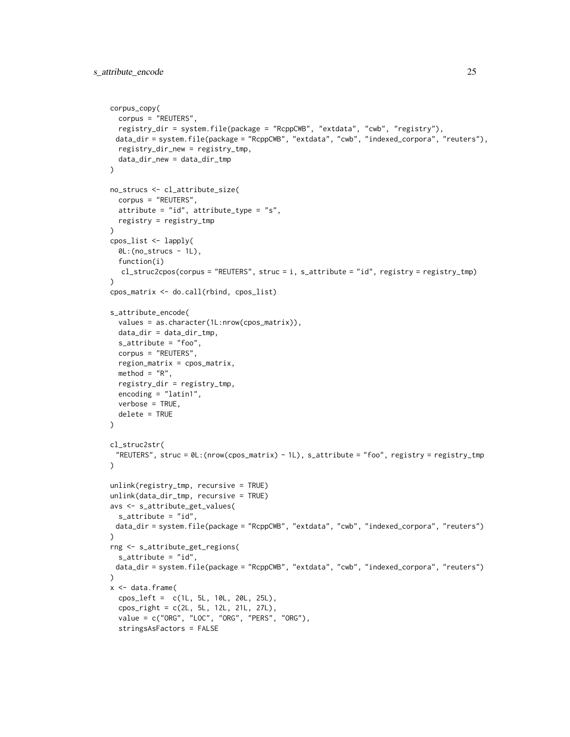```
corpus_copy(
  corpus = "REUTERS",
  registry_dir = system.file(package = "RcppCWB", "extdata", "cwb", "registry"),
 data_dir = system.file(package = "RcppCWB", "extdata", "cwb", "indexed_corpora", "reuters"),
 registry_dir_new = registry_tmp,
  data_dir_new = data_dir_tmp
\mathcal{L}no_strucs <- cl_attribute_size(
  corpus = "REUTERS",
  attribute = "id", attribute_type = "s",
 registry = registry_tmp
)
cpos_list <- lapply(
  OL:(no\_structures - 1L),function(i)
  cl_struc2cpos(corpus = "REUTERS", struc = i, s_attribute = "id", registry = registry_tmp)
\lambdacpos_matrix <- do.call(rbind, cpos_list)
s_attribute_encode(
  values = as.character(1L:nrow(cpos_matrix)),
  data_dir = data_dir_tmp,
  s_attribute = "foo",
  corpus = "REUTERS",
  region_matrix = cpos_matrix,
  method = "R",registry_dir = registry_tmp,
  encoding = "latin1",
  verbose = TRUE,
  delete = TRUE
\lambdacl_struc2str(
 "REUTERS", struc = 0L:(nrow(cpos_matrix) - 1L), s_attribute = "foo", registry = registry_tmp
\lambdaunlink(registry_tmp, recursive = TRUE)
unlink(data_dir_tmp, recursive = TRUE)
avs <- s_attribute_get_values(
  s_attribute = "id",
 data_dir = system.file(package = "RcppCWB", "extdata", "cwb", "indexed_corpora", "reuters")
\lambdarng <- s_attribute_get_regions(
  s_attribute = "id",
 data_dir = system.file(package = "RcppCWB", "extdata", "cwb", "indexed_corpora", "reuters")
\lambdax <- data.frame(
  cpos_left = c(1L, 5L, 10L, 20L, 25L),
  cpos_right = c(2L, 5L, 12L, 21L, 27L),
  value = c("ORG", "LOC", "ORG", "PERS", "ORG"),
  stringsAsFactors = FALSE
```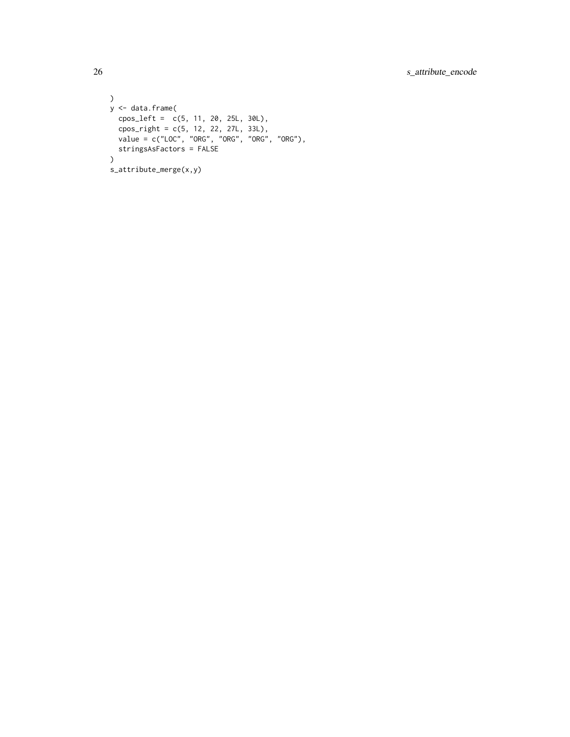```
\lambday <- data.frame(
  cpos_left = c(5, 11, 20, 25L, 30L),
  cpos_right = c(5, 12, 22, 27L, 33L),
  value = c("LOC", "ORG", "ORG", "ORG", "ORG"),
 stringsAsFactors = FALSE
\mathcal{L}s_attribute_merge(x,y)
```